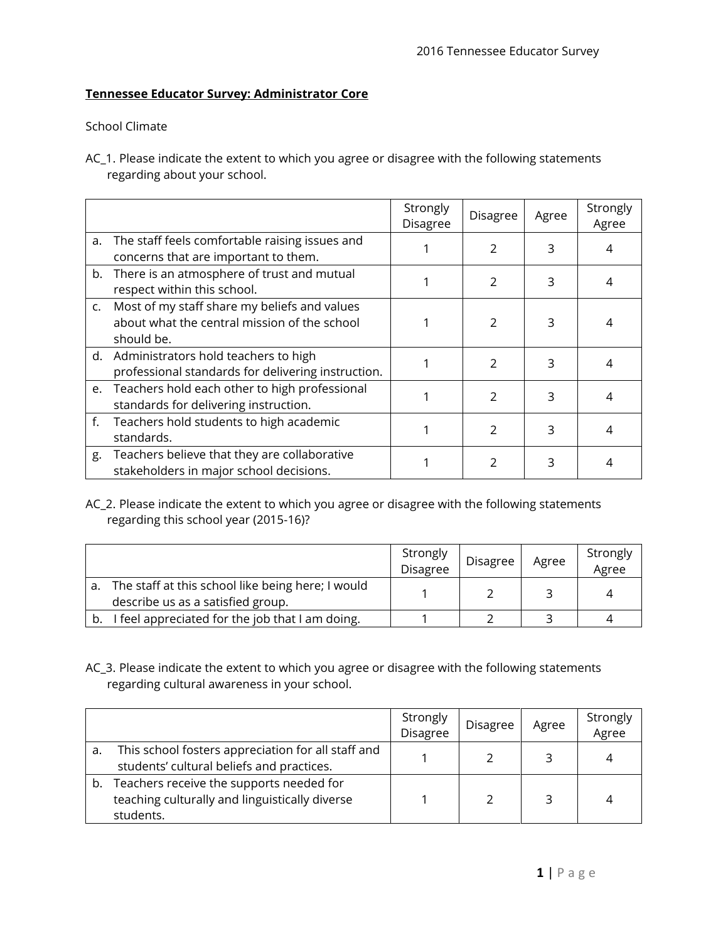## **Tennessee Educator Survey: Administrator Core**

## School Climate

AC\_1. Please indicate the extent to which you agree or disagree with the following statements regarding about your school.

|             |                                                                                                               | Strongly<br>Disagree | Disagree      | Agree | Strongly<br>Agree |
|-------------|---------------------------------------------------------------------------------------------------------------|----------------------|---------------|-------|-------------------|
| a.          | The staff feels comfortable raising issues and<br>concerns that are important to them.                        |                      | $\mathcal{P}$ | 3     | 4                 |
|             | b. There is an atmosphere of trust and mutual<br>respect within this school.                                  |                      | $\mathcal{P}$ | 3     | 4                 |
|             | c. Most of my staff share my beliefs and values<br>about what the central mission of the school<br>should be. |                      | $\mathcal{P}$ | 3     |                   |
|             | d. Administrators hold teachers to high<br>professional standards for delivering instruction.                 |                      | $\mathcal{P}$ | 3     | 4                 |
|             | e. Teachers hold each other to high professional<br>standards for delivering instruction.                     |                      | $\mathcal{P}$ | 3     | 4                 |
| $f_{\star}$ | Teachers hold students to high academic<br>standards.                                                         |                      | $\mathcal{P}$ | 3     | 4                 |
| g.          | Teachers believe that they are collaborative<br>stakeholders in major school decisions.                       |                      | $\mathcal{P}$ | 3     | 4                 |

## AC\_2. Please indicate the extent to which you agree or disagree with the following statements regarding this school year (2015-16)?

|    |                                                                                        | Strongly<br><b>Disagree</b> | Disagree | Agree | Strongly<br>Agree |
|----|----------------------------------------------------------------------------------------|-----------------------------|----------|-------|-------------------|
| а. | The staff at this school like being here; I would<br>describe us as a satisfied group. |                             |          |       |                   |
|    | I feel appreciated for the job that I am doing.                                        |                             |          |       |                   |

AC\_3. Please indicate the extent to which you agree or disagree with the following statements regarding cultural awareness in your school.

|    |                                                                                                         | Strongly<br>Disagree | Disagree | Agree | Strongly<br>Agree |
|----|---------------------------------------------------------------------------------------------------------|----------------------|----------|-------|-------------------|
| a. | This school fosters appreciation for all staff and<br>students' cultural beliefs and practices.         |                      |          |       |                   |
| b. | Teachers receive the supports needed for<br>teaching culturally and linguistically diverse<br>students. |                      |          |       |                   |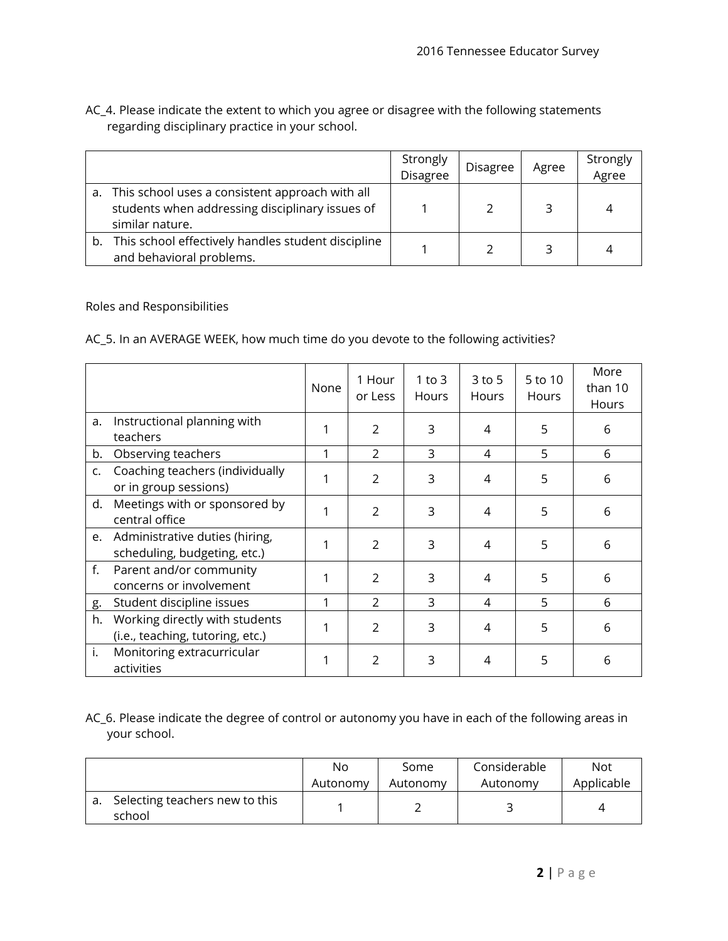|    |                                                                                                                          | Strongly<br>Disagree | <b>Disagree</b> | Agree | Strongly<br>Agree |
|----|--------------------------------------------------------------------------------------------------------------------------|----------------------|-----------------|-------|-------------------|
|    | a. This school uses a consistent approach with all<br>students when addressing disciplinary issues of<br>similar nature. |                      |                 |       |                   |
| b. | This school effectively handles student discipline<br>and behavioral problems.                                           |                      |                 |       |                   |

AC\_4. Please indicate the extent to which you agree or disagree with the following statements regarding disciplinary practice in your school.

Roles and Responsibilities

AC\_5. In an AVERAGE WEEK, how much time do you devote to the following activities?

|                |                                                                    | None | 1 Hour<br>or Less | 1 to $3$<br>Hours | 3 to 5<br>Hours | 5 to 10<br>Hours | More<br>than 10<br>Hours |
|----------------|--------------------------------------------------------------------|------|-------------------|-------------------|-----------------|------------------|--------------------------|
| a.             | Instructional planning with<br>teachers                            |      | $\mathfrak{D}$    | 3                 | 4               | 5                | 6                        |
| b.             | Observing teachers                                                 |      | $\overline{2}$    | 3                 | 4               | 5                | 6                        |
| $\mathsf{C}$ . | Coaching teachers (individually<br>or in group sessions)           |      | $\mathcal{P}$     | 3                 | 4               | 5                | 6                        |
| d.             | Meetings with or sponsored by<br>central office                    | 1    | $\mathcal{P}$     | 3                 | 4               | 5                | 6                        |
| e.             | Administrative duties (hiring,<br>scheduling, budgeting, etc.)     |      | $\overline{2}$    | 3                 | 4               | 5                | 6                        |
| f.             | Parent and/or community<br>concerns or involvement                 |      | $\mathcal{P}$     | 3                 | 4               | 5                | 6                        |
| g.             | Student discipline issues                                          | 1    | $\mathcal{P}$     | 3                 | 4               | 5                | 6                        |
| h.             | Working directly with students<br>(i.e., teaching, tutoring, etc.) |      | $\mathcal{P}$     | 3                 | 4               | 5                | 6                        |
| i.             | Monitoring extracurricular<br>activities                           |      | $\mathfrak{D}$    | 3                 | 4               | 5                | 6                        |

AC\_6. Please indicate the degree of control or autonomy you have in each of the following areas in your school.

|                                          | No       | Some     | Considerable | <b>Not</b> |
|------------------------------------------|----------|----------|--------------|------------|
|                                          | Autonomy | Autonomy | Autonomy     | Applicable |
| Selecting teachers new to this<br>school |          |          |              |            |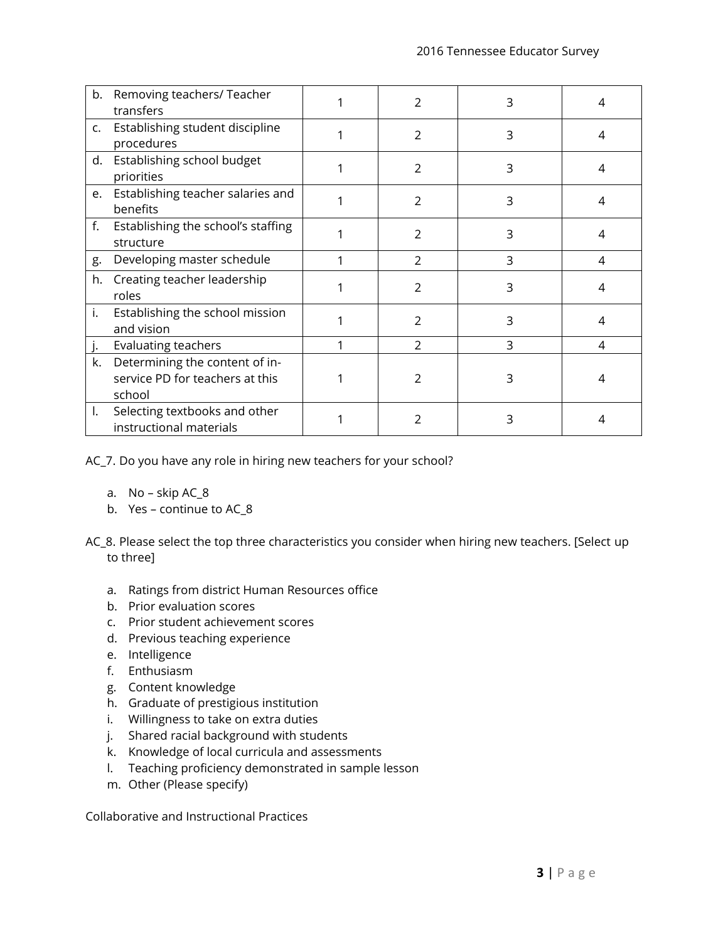|    | b. Removing teachers/ Teacher<br>transfers                                  | 2              | 3 | 4 |
|----|-----------------------------------------------------------------------------|----------------|---|---|
|    | c. Establishing student discipline<br>procedures                            | 2              | 3 | 4 |
| d. | Establishing school budget<br>priorities                                    | $\overline{2}$ | 3 | 4 |
|    | e. Establishing teacher salaries and<br>benefits                            | 2              | 3 | 4 |
|    | f. Establishing the school's staffing<br>structure                          | 2              | 3 | 4 |
| g. | Developing master schedule                                                  | 2              | 3 | 4 |
| h. | Creating teacher leadership<br>roles                                        | $\mathcal{P}$  | 3 | 4 |
| i. | Establishing the school mission<br>and vision                               | $\mathcal{P}$  | 3 | 4 |
| j. | Evaluating teachers                                                         | $\mathcal{P}$  | 3 | 4 |
| k. | Determining the content of in-<br>service PD for teachers at this<br>school | 2              | 3 | 4 |
| I. | Selecting textbooks and other<br>instructional materials                    | $\mathfrak{D}$ | 3 | 4 |

AC\_7. Do you have any role in hiring new teachers for your school?

- a. No skip AC\_8
- b. Yes continue to AC\_8
- AC\_8. Please select the top three characteristics you consider when hiring new teachers. [Select up to three]
	- a. Ratings from district Human Resources office
	- b. Prior evaluation scores
	- c. Prior student achievement scores
	- d. Previous teaching experience
	- e. Intelligence
	- f. Enthusiasm
	- g. Content knowledge
	- h. Graduate of prestigious institution
	- i. Willingness to take on extra duties
	- j. Shared racial background with students
	- k. Knowledge of local curricula and assessments
	- l. Teaching proficiency demonstrated in sample lesson
	- m. Other (Please specify)

Collaborative and Instructional Practices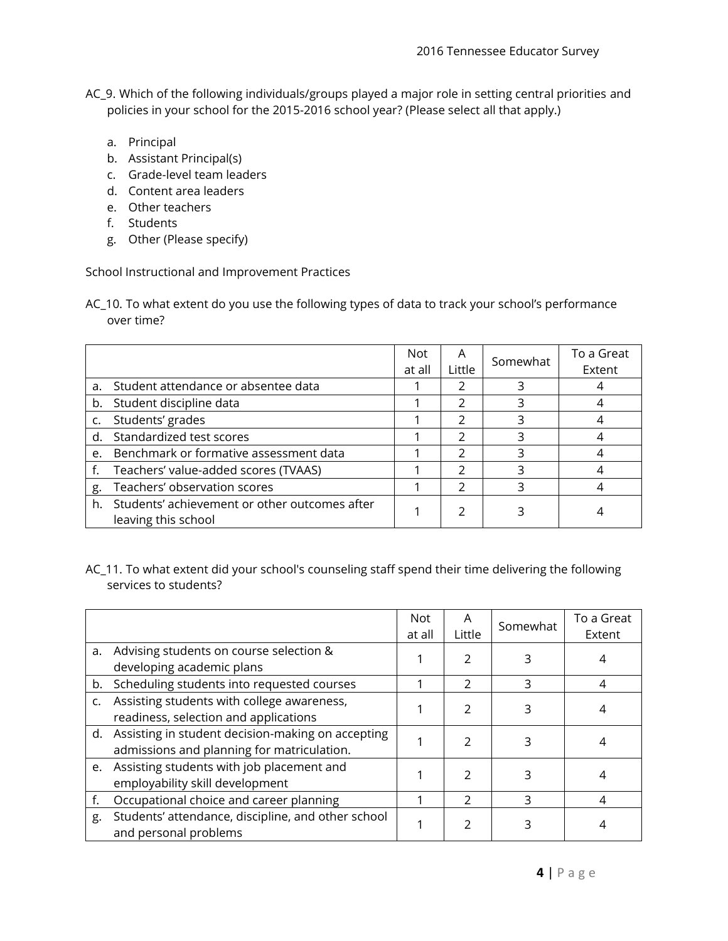- AC\_9. Which of the following individuals/groups played a major role in setting central priorities and policies in your school for the 2015-2016 school year? (Please select all that apply.)
	- a. Principal
	- b. Assistant Principal(s)
	- c. Grade-level team leaders
	- d. Content area leaders
	- e. Other teachers
	- f. Students
	- g. Other (Please specify)

School Instructional and Improvement Practices

AC\_10. To what extent do you use the following types of data to track your school's performance over time?

|    |                                                                         | <b>Not</b><br>at all | A<br>Little | Somewhat | To a Great<br>Extent |
|----|-------------------------------------------------------------------------|----------------------|-------------|----------|----------------------|
| a. | Student attendance or absentee data                                     |                      |             | 3        |                      |
|    | b. Student discipline data                                              |                      | 2           |          |                      |
|    | c. Students' grades                                                     |                      |             |          |                      |
|    | d. Standardized test scores                                             |                      | っ           |          |                      |
| e. | Benchmark or formative assessment data                                  |                      | 2           |          |                      |
|    | Teachers' value-added scores (TVAAS)                                    |                      |             |          |                      |
| g. | Teachers' observation scores                                            |                      | 2           | 3        |                      |
|    | h. Students' achievement or other outcomes after<br>leaving this school |                      | 2           |          |                      |

AC\_11. To what extent did your school's counseling staff spend their time delivering the following services to students?

|                |                                                                                                    | Not<br>at all | A<br>Little   | Somewhat | To a Great<br>Extent |
|----------------|----------------------------------------------------------------------------------------------------|---------------|---------------|----------|----------------------|
| a.             | Advising students on course selection &<br>developing academic plans                               |               | 2             |          |                      |
| b.             | Scheduling students into requested courses                                                         |               | C             | 3        | 4                    |
| $\mathsf{C}$ . | Assisting students with college awareness,<br>readiness, selection and applications                |               | 2             |          |                      |
|                | d. Assisting in student decision-making on accepting<br>admissions and planning for matriculation. |               | 2             |          |                      |
|                | e. Assisting students with job placement and<br>employability skill development                    |               | 2             |          |                      |
| f.             | Occupational choice and career planning                                                            |               | $\mathcal{P}$ | 3        |                      |
| g.             | Students' attendance, discipline, and other school<br>and personal problems                        |               | 2             |          |                      |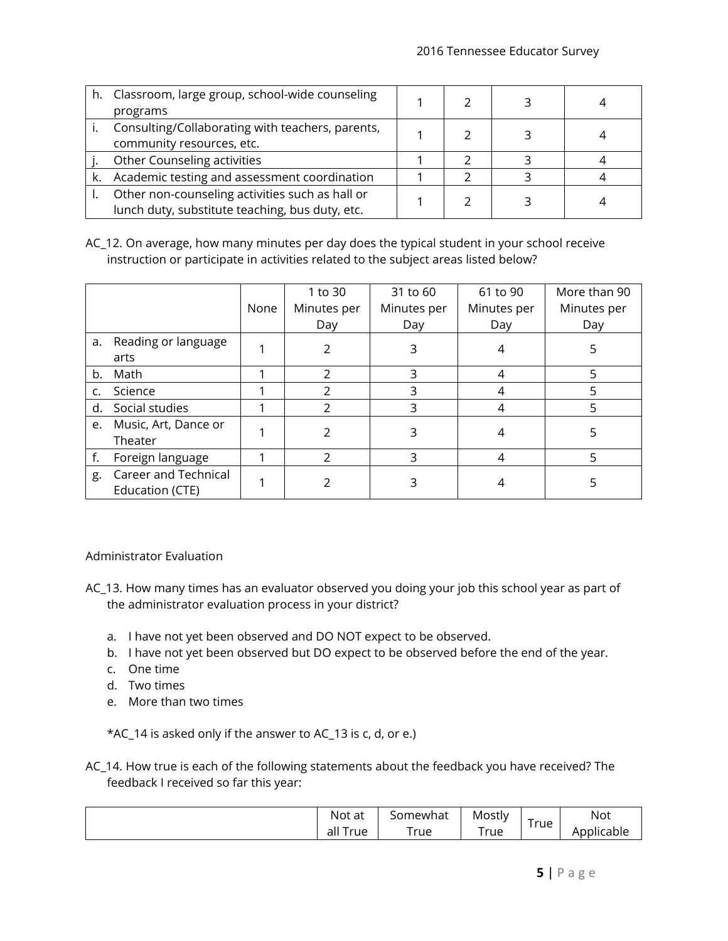| h. Classroom, large group, school-wide counseling |  |  |
|---------------------------------------------------|--|--|
| programs                                          |  |  |
| Consulting/Collaborating with teachers, parents,  |  |  |
| community resources, etc.                         |  |  |
| Other Counseling activities                       |  |  |
| Academic testing and assessment coordination      |  |  |
| Other non-counseling activities such as hall or   |  |  |
| lunch duty, substitute teaching, bus duty, etc.   |  |  |

AC\_12. On average, how many minutes per day does the typical student in your school receive instruction or participate in activities related to the subject areas listed below?

|    |                                         | None | 1 to 30<br>Minutes per<br>Day | 31 to 60<br>Minutes per<br>Day | 61 to 90<br>Minutes per<br>Day | More than 90<br>Minutes per<br>Day |
|----|-----------------------------------------|------|-------------------------------|--------------------------------|--------------------------------|------------------------------------|
| а. | Reading or language<br>arts             |      | $\mathcal{P}$                 | 3                              | 4                              | 5                                  |
| b. | Math                                    |      | $\mathfrak{D}$                | 3                              | 4                              | 5                                  |
| c. | Science                                 |      | フ                             | 3                              | 4                              |                                    |
| d. | Social studies                          |      | 2                             | 3                              |                                |                                    |
| e. | Music, Art, Dance or<br>Theater         |      | 2                             | 3                              | 4                              |                                    |
|    | Foreign language                        |      | $\mathcal{P}$                 | 3                              | 4                              | 5                                  |
| g. | Career and Technical<br>Education (CTE) |      |                               | 3                              |                                |                                    |

Administrator Evaluation

- AC\_13. How many times has an evaluator observed you doing your job this school year as part of the administrator evaluation process in your district?
	- a. I have not yet been observed and DO NOT expect to be observed.
	- b. I have not yet been observed but DO expect to be observed before the end of the year.
	- c. One time
	- d. Two times
	- e. More than two times

\*AC\_14 is asked only if the answer to AC\_13 is c, d, or e.)

AC\_14. How true is each of the following statements about the feedback you have received? The feedback I received so far this year:

| Not at     | Somewhat | Mostly | _   | <b>Not</b>        |
|------------|----------|--------|-----|-------------------|
| rue<br>all | True     | True   | rue | Applicable<br>AD. |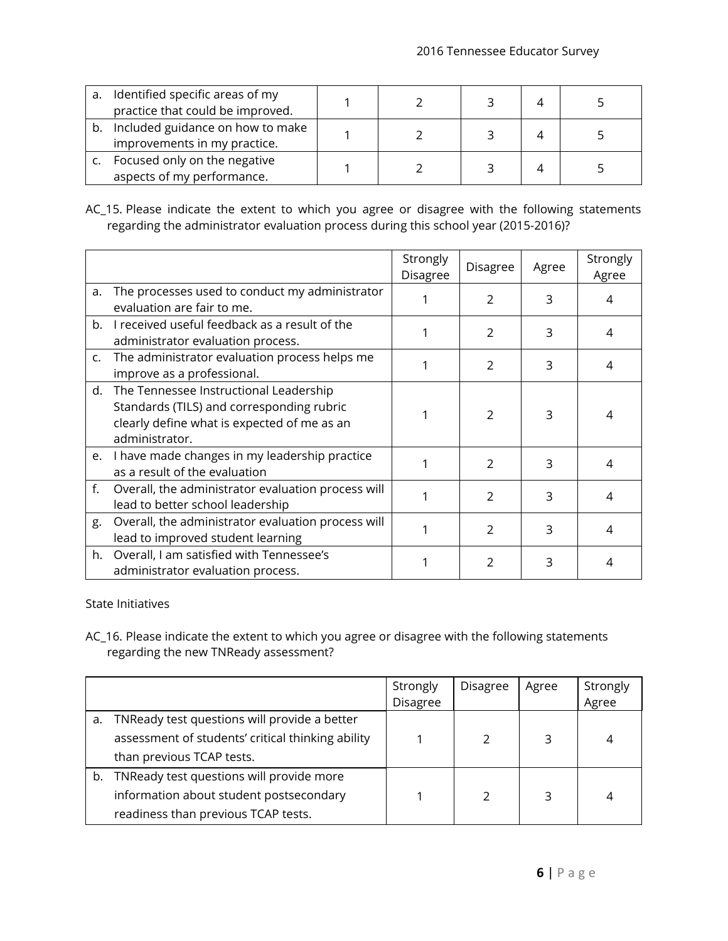| a. | Identified specific areas of my<br>practice that could be improved. |  |  |  |
|----|---------------------------------------------------------------------|--|--|--|
|    | b. Included guidance on how to make<br>improvements in my practice. |  |  |  |
|    | Focused only on the negative<br>aspects of my performance.          |  |  |  |

AC\_15. Please indicate the extent to which you agree or disagree with the following statements regarding the administrator evaluation process during this school year (2015-2016)?

|               |                                                                                                                                                         | Strongly<br><b>Disagree</b> | Disagree      | Agree | Strongly<br>Agree |
|---------------|---------------------------------------------------------------------------------------------------------------------------------------------------------|-----------------------------|---------------|-------|-------------------|
| a.            | The processes used to conduct my administrator<br>evaluation are fair to me.                                                                            |                             | 2             | 3     | 4                 |
| b.            | I received useful feedback as a result of the<br>administrator evaluation process.                                                                      |                             | 2             | 3     | 4                 |
| $C_{\bullet}$ | The administrator evaluation process helps me<br>improve as a professional.                                                                             |                             | $\mathcal{P}$ | 3     | 4                 |
|               | d. The Tennessee Instructional Leadership<br>Standards (TILS) and corresponding rubric<br>clearly define what is expected of me as an<br>administrator. |                             | 2             | 3     | 4                 |
|               | e. I have made changes in my leadership practice<br>as a result of the evaluation                                                                       |                             | $\mathcal{P}$ | 3     | 4                 |
| f.            | Overall, the administrator evaluation process will<br>lead to better school leadership                                                                  |                             | 2             | 3     | 4                 |
| g.            | Overall, the administrator evaluation process will<br>lead to improved student learning                                                                 |                             | 2             | 3     | 4                 |
| h.            | Overall, I am satisfied with Tennessee's<br>administrator evaluation process.                                                                           |                             | 2             | 3     | 4                 |

State Initiatives

AC\_16. Please indicate the extent to which you agree or disagree with the following statements regarding the new TNReady assessment?

|    |                                                   | Strongly        | Disagree | Agree | Strongly |
|----|---------------------------------------------------|-----------------|----------|-------|----------|
|    |                                                   | <b>Disagree</b> |          |       | Agree    |
| а. | TNReady test questions will provide a better      |                 |          |       |          |
|    | assessment of students' critical thinking ability |                 |          |       |          |
|    | than previous TCAP tests.                         |                 |          |       |          |
| b. | TNReady test questions will provide more          |                 |          |       |          |
|    | information about student postsecondary           |                 |          |       | 4        |
|    | readiness than previous TCAP tests.               |                 |          |       |          |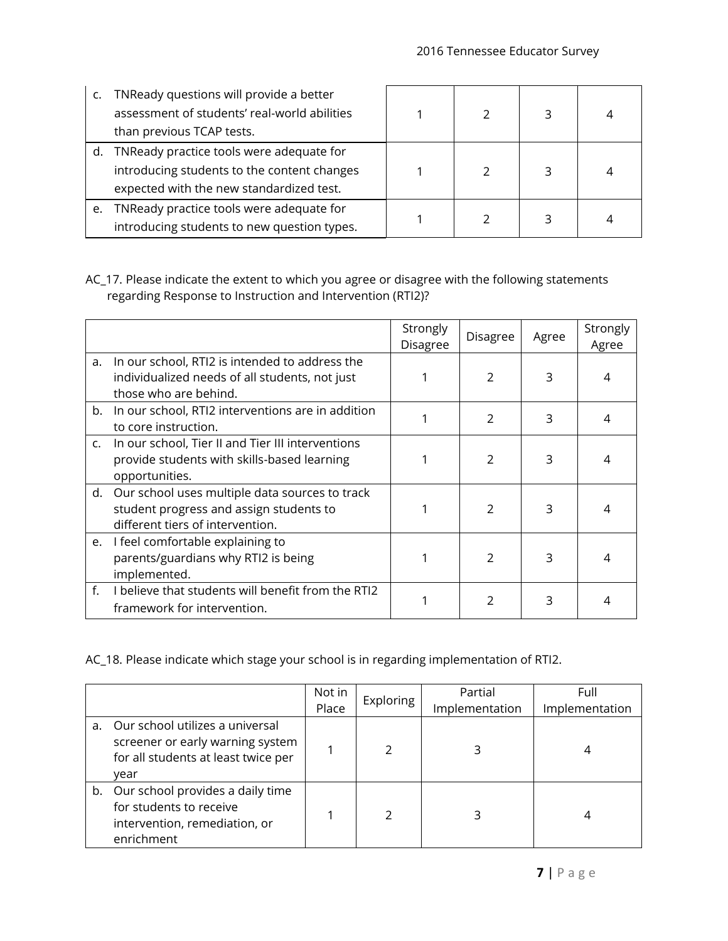|    | TNReady questions will provide a better<br>assessment of students' real-world abilities<br>than previous TCAP tests.                |  |  |
|----|-------------------------------------------------------------------------------------------------------------------------------------|--|--|
| d. | TNReady practice tools were adequate for<br>introducing students to the content changes<br>expected with the new standardized test. |  |  |
| e. | TNReady practice tools were adequate for<br>introducing students to new question types.                                             |  |  |

AC\_17. Please indicate the extent to which you agree or disagree with the following statements regarding Response to Instruction and Intervention (RTI2)?

|    |                                                                                                                                  | Strongly<br>Disagree | Disagree       | Agree | Strongly<br>Agree |
|----|----------------------------------------------------------------------------------------------------------------------------------|----------------------|----------------|-------|-------------------|
| a. | In our school, RTI2 is intended to address the<br>individualized needs of all students, not just<br>those who are behind.        |                      | $\overline{2}$ | 3     | 4                 |
|    | b. In our school, RTI2 interventions are in addition<br>to core instruction.                                                     |                      | $\mathcal{P}$  | 3     | 4                 |
|    | c. In our school, Tier II and Tier III interventions<br>provide students with skills-based learning<br>opportunities.            |                      | $\mathcal{P}$  | 3     | 4                 |
|    | d. Our school uses multiple data sources to track<br>student progress and assign students to<br>different tiers of intervention. |                      | $\mathcal{P}$  | 3     | 4                 |
|    | e. I feel comfortable explaining to<br>parents/guardians why RTI2 is being<br>implemented.                                       |                      | $\mathcal{P}$  | 3     | 4                 |
| f. | I believe that students will benefit from the RTI2<br>framework for intervention.                                                |                      | $\mathfrak{D}$ | 3     | 4                 |

AC\_18. Please indicate which stage your school is in regarding implementation of RTI2.

|    |                                                                                                                    | Not in<br>Place | Exploring | Partial<br>Implementation | Full<br>Implementation |
|----|--------------------------------------------------------------------------------------------------------------------|-----------------|-----------|---------------------------|------------------------|
| a. | Our school utilizes a universal<br>screener or early warning system<br>for all students at least twice per<br>year |                 |           |                           | 4                      |
|    | b. Our school provides a daily time<br>for students to receive<br>intervention, remediation, or<br>enrichment      |                 | フ         |                           | 4                      |